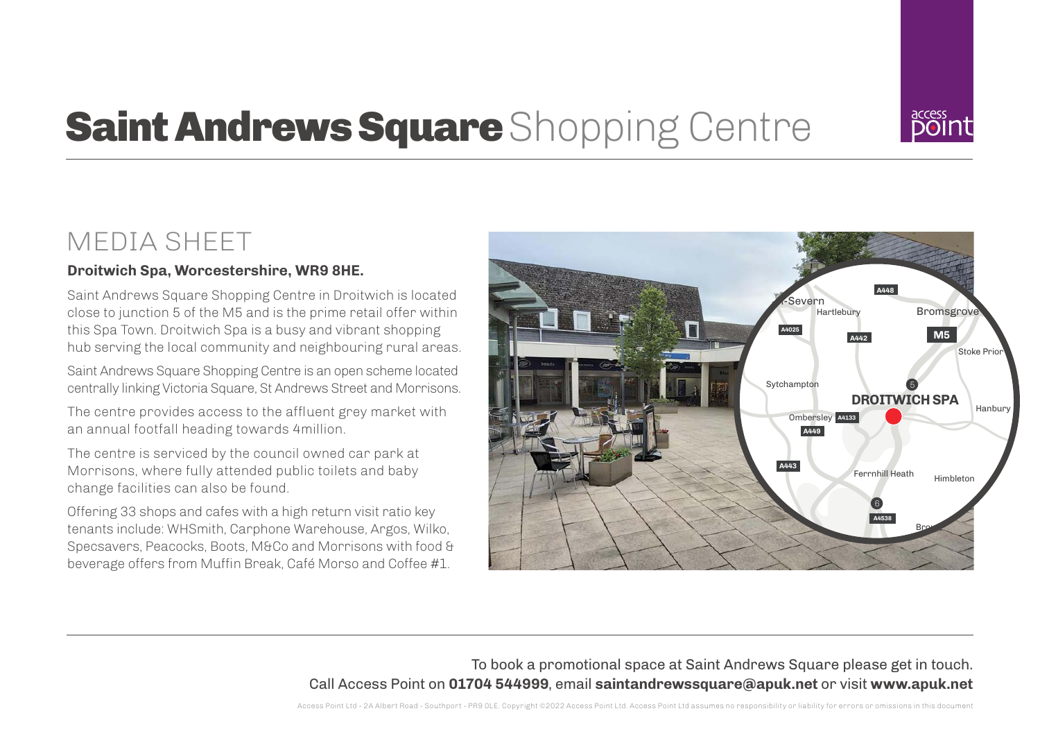

# **Saint Andrews Square** Shopping Centre

## MEDIA SHEET

### **Droitwich Spa, Worcestershire, WR9 8HE.**

Saint Andrews Square Shopping Centre in Droitwich is located close to junction 5 of the M5 and is the prime retail offer within this Spa Town. Droitwich Spa is a busy and vibrant shopping hub serving the local community and neighbouring rural areas.

Saint Andrews Square Shopping Centre is an open scheme located centrally linking Victoria Square, St Andrews Street and Morrisons.

The centre provides access to the affluent grey market with an annual footfall heading towards 4million.

The centre is serviced by the council owned car park at Morrisons, where fully attended public toilets and baby change facilities can also be found.

Offering 33 shops and cafes with a high return visit ratio key tenants include: WHSmith, Carphone Warehouse, Argos, Wilko, Specsavers, Peacocks, Boots, M&Co and Morrisons with food & beverage offers from Muffin Break, Café Morso and Coffee #1.



To book a promotional space at Saint Andrews Square please get in touch. Call Access Point on **01704 544999**, email **saintandrewssquare@apuk.net** or visit **www.apuk.net**

Access Point Ltd - 2A Albert Road - Southport - PR9 0LE. Copyright ©2022 Access Point Ltd. Access Point Ltd assumes no responsibility or liability for errors or omissions in this document